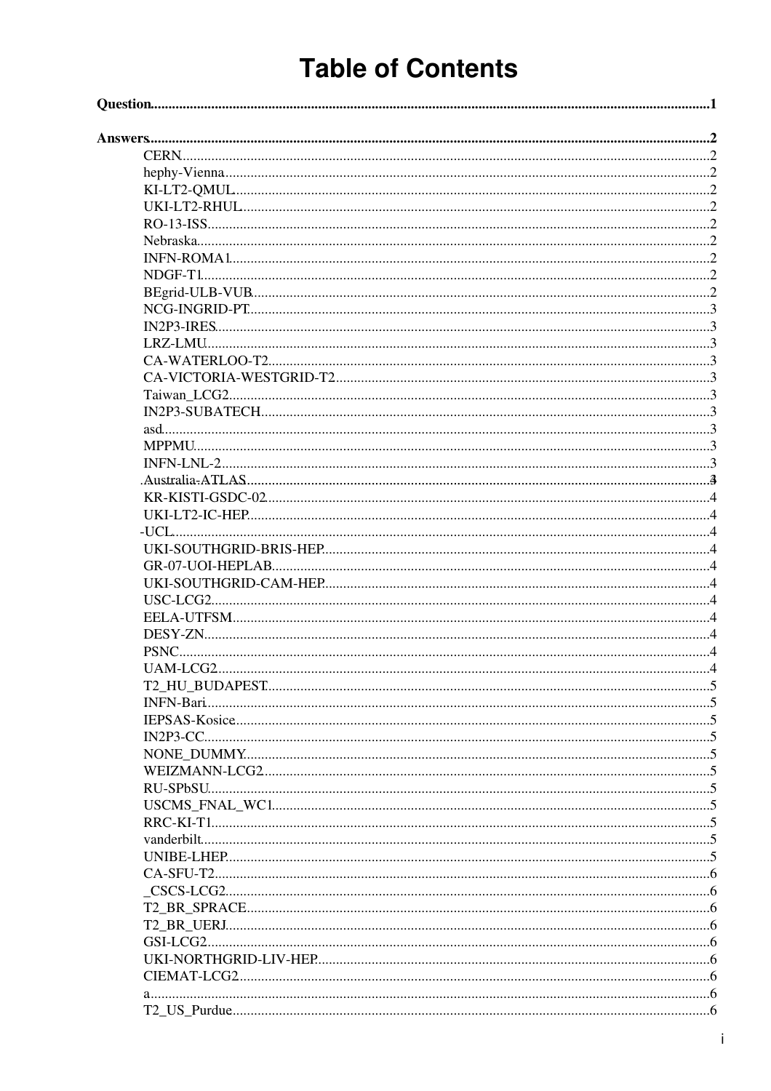# **Table of Contents**

| PSNC. |  |
|-------|--|
|       |  |
|       |  |
|       |  |
|       |  |
|       |  |
|       |  |
|       |  |
|       |  |
|       |  |
|       |  |
|       |  |
|       |  |
|       |  |
|       |  |
|       |  |
|       |  |
|       |  |
|       |  |
|       |  |
|       |  |
|       |  |
|       |  |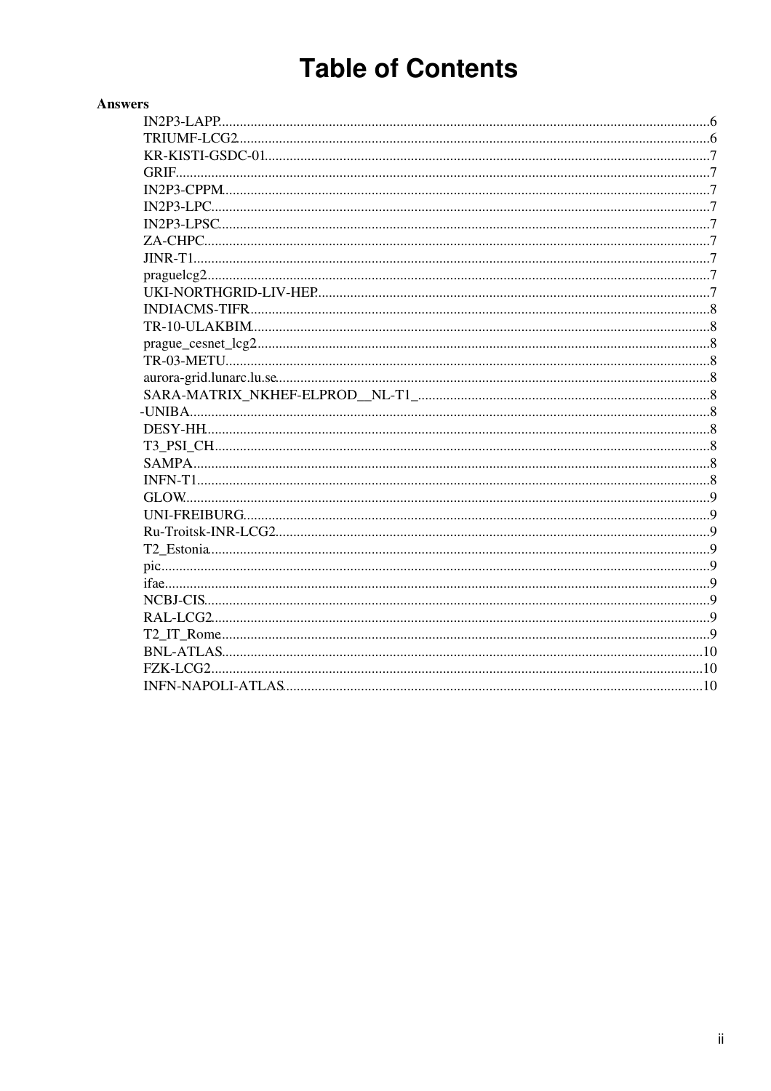# **Table of Contents**

| <b>Answers</b> |  |
|----------------|--|
|                |  |
|                |  |
|                |  |
|                |  |
|                |  |
|                |  |
|                |  |
|                |  |
|                |  |
|                |  |
|                |  |
|                |  |
|                |  |
|                |  |
|                |  |
|                |  |
|                |  |
|                |  |
|                |  |
|                |  |
|                |  |
|                |  |
|                |  |
|                |  |
|                |  |
|                |  |
|                |  |
|                |  |
|                |  |
|                |  |
|                |  |
|                |  |
|                |  |
|                |  |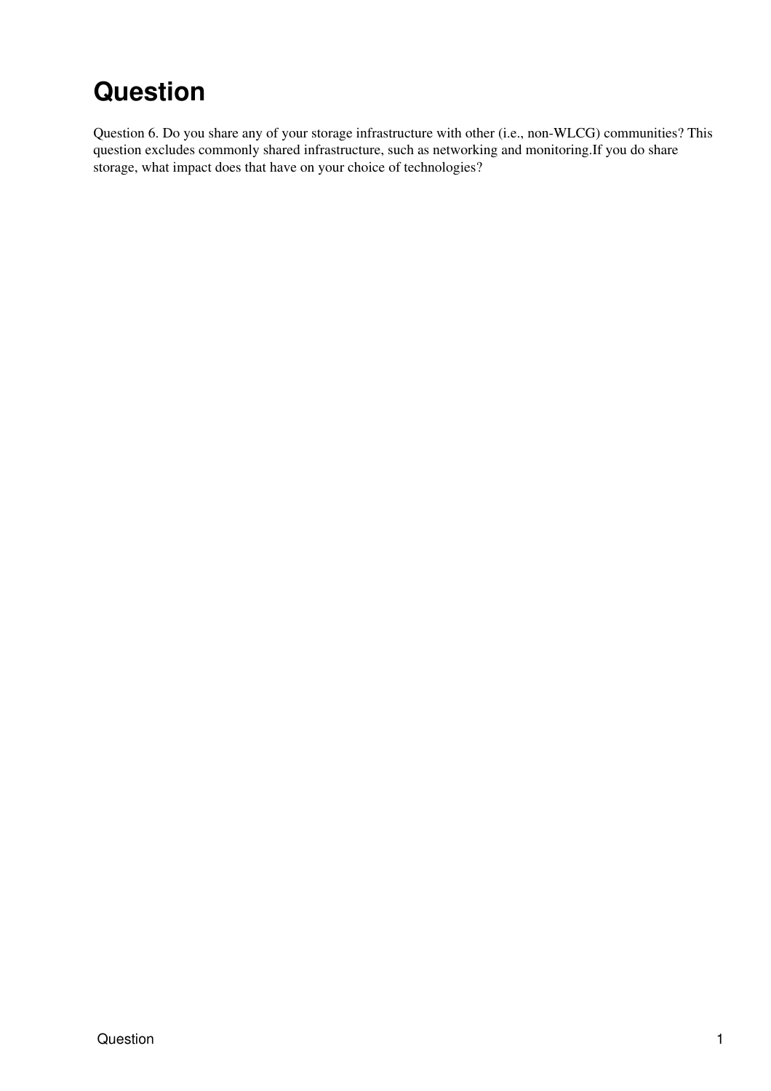# <span id="page-2-0"></span>**Question**

Question 6. Do you share any of your storage infrastructure with other (i.e., non-WLCG) communities? This question excludes commonly shared infrastructure, such as networking and monitoring.If you do share storage, what impact does that have on your choice of technologies?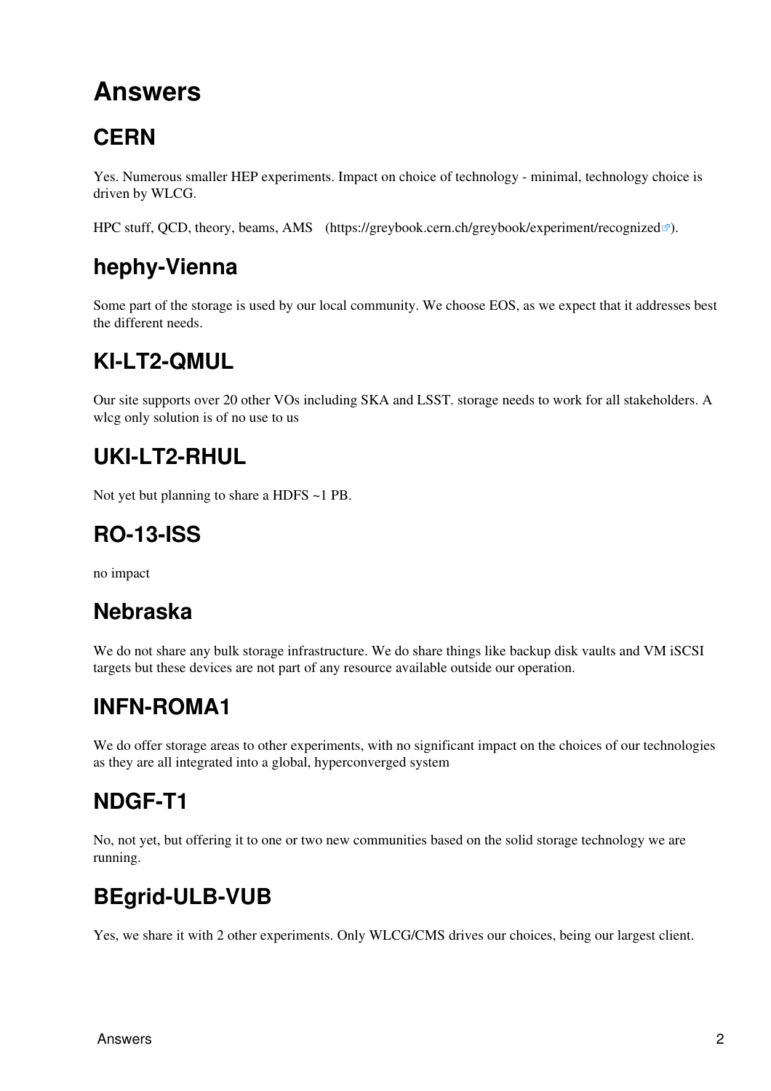# <span id="page-3-0"></span>**Answers**

# <span id="page-3-1"></span>**CERN**

Yes. Numerous smaller HEP experiments. Impact on choice of technology - minimal, technology choice is driven by WLCG.

HPC stuff, QCD, theory, beams, AMS (<https://greybook.cern.ch/greybook/experiment/recognized> <sup>7</sup>).

# <span id="page-3-2"></span>**hephy-Vienna**

Some part of the storage is used by our local community. We choose EOS, as we expect that it addresses best the different needs.

# <span id="page-3-3"></span>**KI-LT2-QMUL**

Our site supports over 20 other VOs including SKA and LSST. storage needs to work for all stakeholders. A wlcg only solution is of no use to us

# <span id="page-3-4"></span>**UKI-LT2-RHUL**

Not yet but planning to share a HDFS ~1 PB.

## <span id="page-3-5"></span>**RO-13-ISS**

no impact

## <span id="page-3-6"></span>**Nebraska**

We do not share any bulk storage infrastructure. We do share things like backup disk vaults and VM iSCSI targets but these devices are not part of any resource available outside our operation.

## <span id="page-3-7"></span>**INFN-ROMA1**

We do offer storage areas to other experiments, with no significant impact on the choices of our technologies as they are all integrated into a global, hyperconverged system

## <span id="page-3-8"></span>**NDGF-T1**

No, not yet, but offering it to one or two new communities based on the solid storage technology we are running.

## <span id="page-3-9"></span>**BEgrid-ULB-VUB**

Yes, we share it with 2 other experiments. Only WLCG/CMS drives our choices, being our largest client.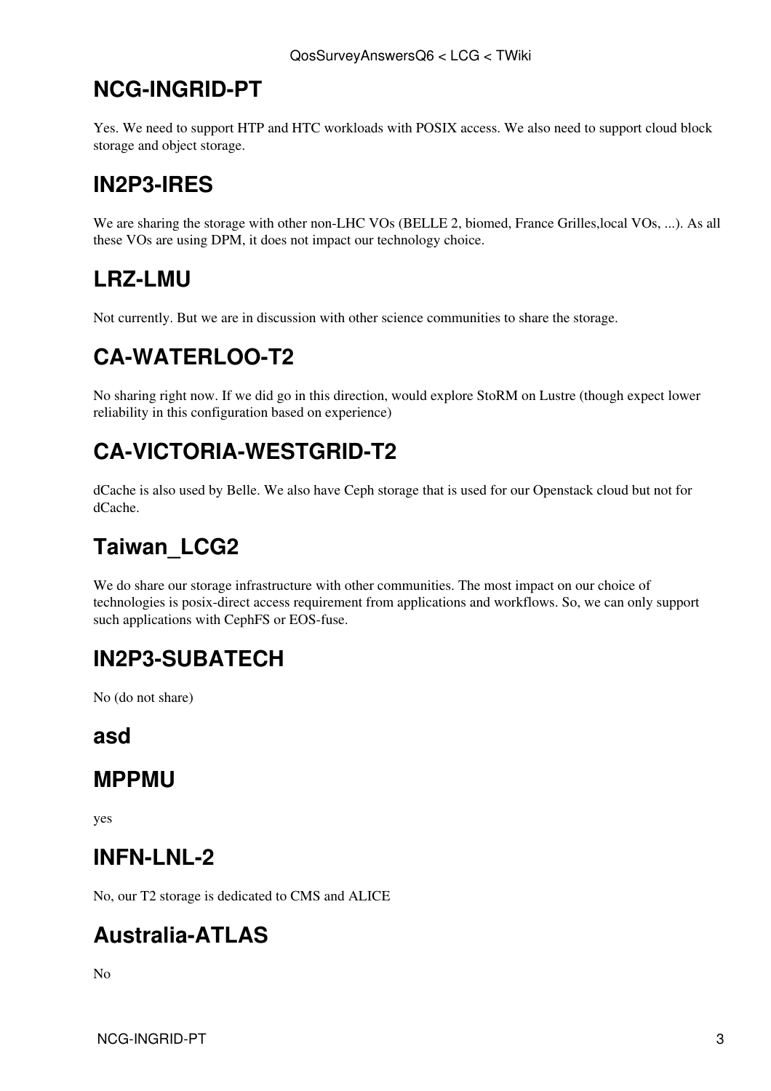#### <span id="page-4-0"></span>**NCG-INGRID-PT**

Yes. We need to support HTP and HTC workloads with POSIX access. We also need to support cloud block storage and object storage.

## <span id="page-4-1"></span>**[IN2P3](https://twiki.cern.ch/twiki/bin/view/LCG/IN2P3)-IRES**

We are sharing the storage with other non-LHC VOs (BELLE 2, biomed, France Grilles, local VOs, ...). As all these VOs are using DPM, it does not impact our technology choice.

## <span id="page-4-2"></span>**LRZ-LMU**

Not currently. But we are in discussion with other science communities to share the storage.

## <span id="page-4-3"></span>**CA-WATERLOO-T2**

No sharing right now. If we did go in this direction, would explore [StoRM](https://twiki.cern.ch/twiki/bin/view/LCG/StoRM) on Lustre (though expect lower reliability in this configuration based on experience)

## <span id="page-4-4"></span>**CA-VICTORIA-WESTGRID-T2**

dCache is also used by Belle. We also have Ceph storage that is used for our Openstack cloud but not for dCache.

# <span id="page-4-5"></span>**Taiwan\_LCG2**

We do share our storage infrastructure with other communities. The most impact on our choice of technologies is posix-direct access requirement from applications and workflows. So, we can only support such applications with [CephFS](https://twiki.cern.ch/twiki/bin/edit/LCG/CephFS?topicparent=LCG.QosSurveyAnswersQ6;nowysiwyg=1) or EOS-fuse.

#### <span id="page-4-6"></span>**[IN2P3](https://twiki.cern.ch/twiki/bin/view/LCG/IN2P3)-SUBATECH**

No (do not share)

#### <span id="page-4-7"></span>**asd**

#### <span id="page-4-8"></span>**MPPMU**

yes

#### <span id="page-4-9"></span>**INFN-LNL-2**

No, our T2 storage is dedicated to CMS and ALICE

#### <span id="page-4-10"></span>**Australia-ATLAS**

 $N<sub>0</sub>$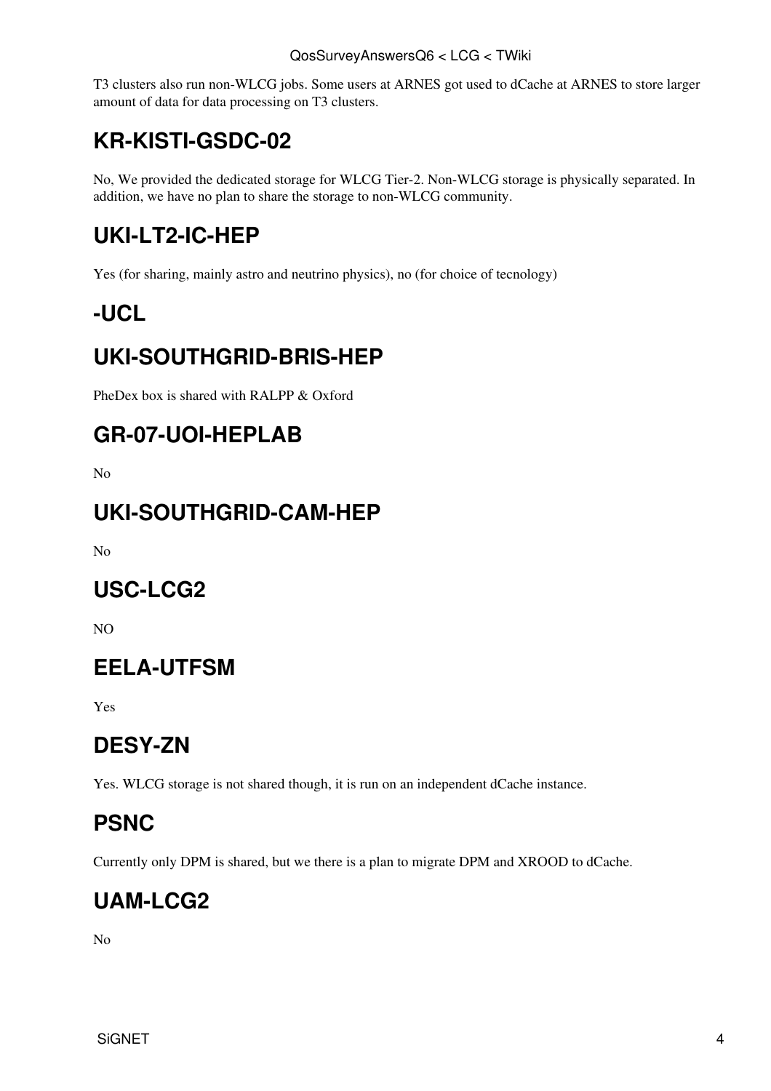T3 clusters also run non-WLCG jobs. Some users at ARNES got used to dCache at ARNES to store larger amount of data for data processing on T3 clusters.

## <span id="page-5-0"></span>**KR-KISTI-GSDC-02**

No, We provided the dedicated storage for WLCG Tier-2. Non-WLCG storage is physically separated. In addition, we have no plan to share the storage to non-WLCG community.

# <span id="page-5-1"></span>**UKI-LT2-IC-HEP**

Yes (for sharing, mainly astro and neutrino physics), no (for choice of tecnology)

#### <span id="page-5-2"></span>**-UCL**

## <span id="page-5-3"></span>**UKI-SOUTHGRID-BRIS-HEP**

[PheDex](https://twiki.cern.ch/twiki/bin/edit/LCG/PheDex?topicparent=LCG.QosSurveyAnswersQ6;nowysiwyg=1) box is shared with RALPP & Oxford

#### <span id="page-5-4"></span>**GR-07-UOI-HEPLAB**

No

#### <span id="page-5-5"></span>**UKI-SOUTHGRID-CAM-HEP**

No

#### <span id="page-5-6"></span>**USC-LCG2**

NO

#### <span id="page-5-7"></span>**EELA-UTFSM**

Yes

#### <span id="page-5-8"></span>**DESY-ZN**

Yes. WLCG storage is not shared though, it is run on an independent dCache instance.

## <span id="page-5-9"></span>**PSNC**

Currently only DPM is shared, but we there is a plan to migrate DPM and XROOD to dCache.

#### <span id="page-5-10"></span>**UAM-LCG2**

No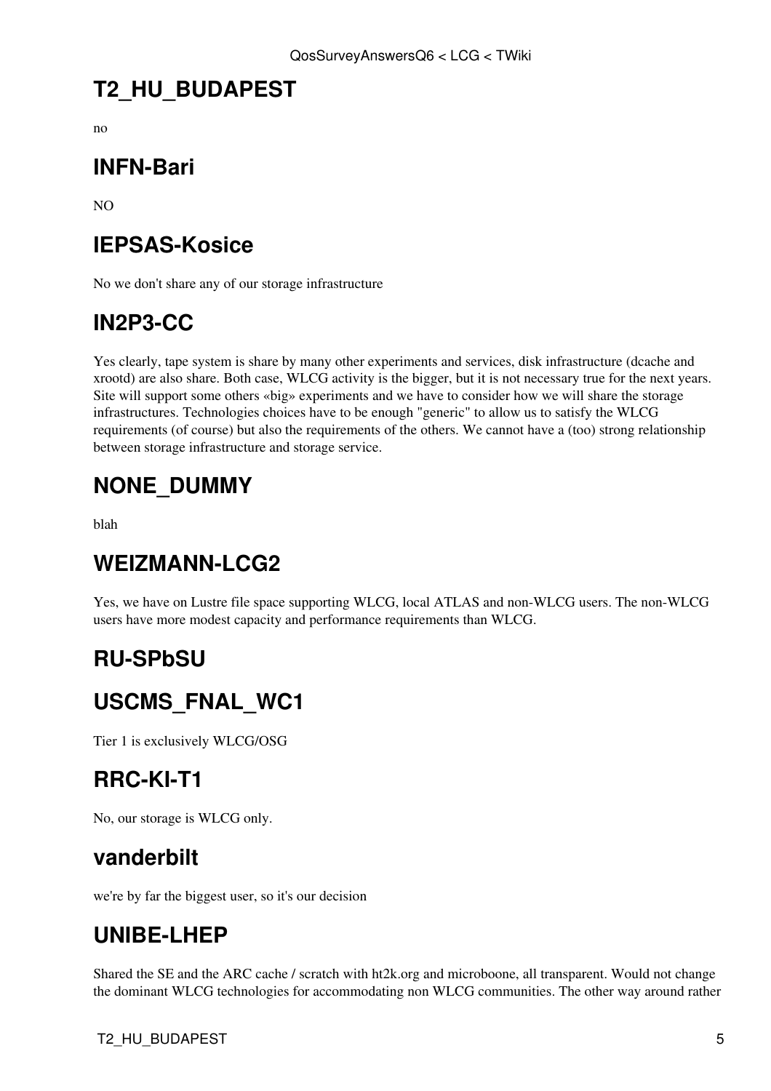## <span id="page-6-0"></span>**T2\_HU\_BUDAPEST**

no

#### <span id="page-6-1"></span>**INFN-Bari**

NO

## <span id="page-6-2"></span>**IEPSAS-Kosice**

No we don't share any of our storage infrastructure

#### <span id="page-6-3"></span>**[IN2P3](https://twiki.cern.ch/twiki/bin/view/LCG/IN2P3)-CC**

Yes clearly, tape system is share by many other experiments and services, disk infrastructure (dcache and xrootd) are also share. Both case, WLCG activity is the bigger, but it is not necessary true for the next years. Site will support some others «big» experiments and we have to consider how we will share the storage infrastructures. Technologies choices have to be enough "generic" to allow us to satisfy the WLCG requirements (of course) but also the requirements of the others. We cannot have a (too) strong relationship between storage infrastructure and storage service.

## <span id="page-6-4"></span>**NONE\_DUMMY**

blah

#### <span id="page-6-5"></span>**WEIZMANN-LCG2**

Yes, we have on Lustre file space supporting WLCG, local ATLAS and non-WLCG users. The non-WLCG users have more modest capacity and performance requirements than WLCG.

#### <span id="page-6-6"></span>**RU-SPbSU**

## <span id="page-6-7"></span>**USCMS\_FNAL\_WC1**

Tier 1 is exclusively WLCG/OSG

#### <span id="page-6-8"></span>**RRC-KI-T1**

No, our storage is WLCG only.

#### <span id="page-6-9"></span>**vanderbilt**

we're by far the biggest user, so it's our decision

#### <span id="page-6-10"></span>**UNIBE-LHEP**

Shared the SE and the ARC cache / scratch with ht2k.org and microboone, all transparent. Would not change the dominant WLCG technologies for accommodating non WLCG communities. The other way around rather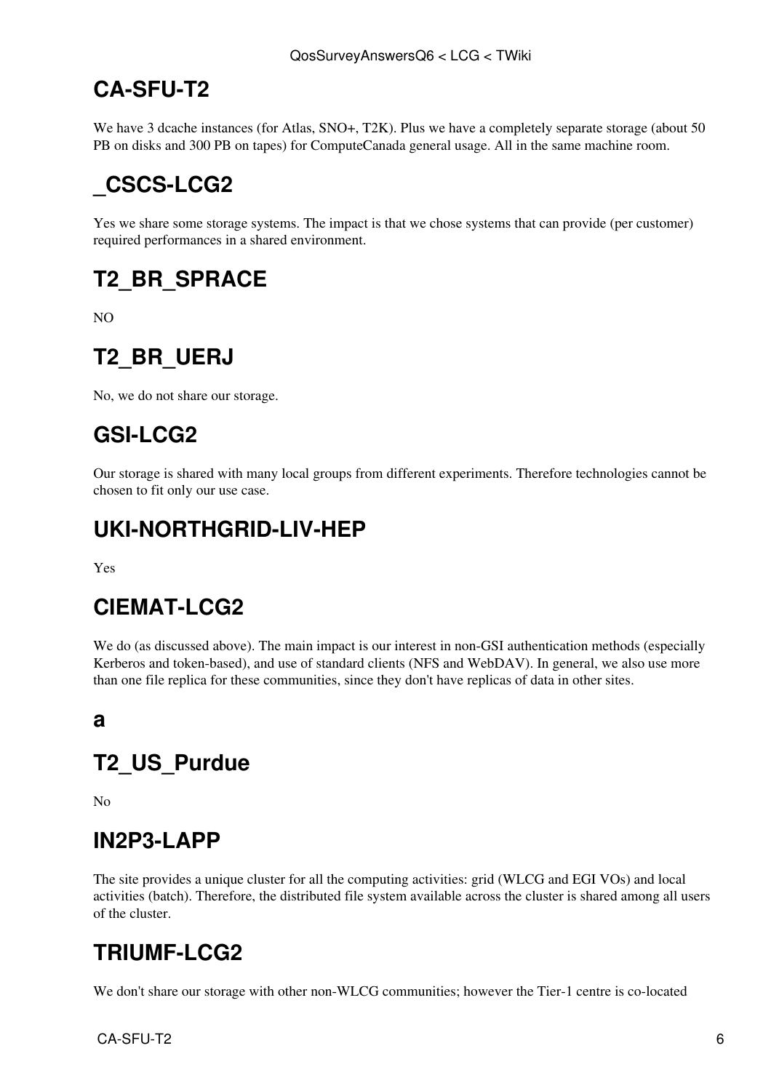## <span id="page-7-0"></span>**CA-SFU-T2**

We have 3 dcache instances (for Atlas, SNO+, [T2K\)](https://twiki.cern.ch/twiki/bin/edit/LCG/T2K?topicparent=LCG.QosSurveyAnswersQ6;nowysiwyg=1). Plus we have a completely separate storage (about 50 PB on disks and 300 PB on tapes) for [ComputeCanada](https://twiki.cern.ch/twiki/bin/edit/LCG/ComputeCanada?topicparent=LCG.QosSurveyAnswersQ6;nowysiwyg=1) general usage. All in the same machine room.

# <span id="page-7-1"></span>**\_CSCS-LCG2**

Yes we share some storage systems. The impact is that we chose systems that can provide (per customer) required performances in a shared environment.

## <span id="page-7-2"></span>**T2\_BR\_SPRACE**

NO

# <span id="page-7-3"></span>**T2\_BR\_UERJ**

No, we do not share our storage.

## <span id="page-7-4"></span>**GSI-LCG2**

Our storage is shared with many local groups from different experiments. Therefore technologies cannot be chosen to fit only our use case.

## <span id="page-7-5"></span>**UKI-NORTHGRID-LIV-HEP**

Yes

## <span id="page-7-6"></span>**CIEMAT-LCG2**

We do (as discussed above). The main impact is our interest in non-GSI authentication methods (especially Kerberos and token-based), and use of standard clients (NFS and [WebDAV](https://twiki.cern.ch/twiki/bin/edit/LCG/WebDAV?topicparent=LCG.QosSurveyAnswersQ6;nowysiwyg=1)). In general, we also use more than one file replica for these communities, since they don't have replicas of data in other sites.

<span id="page-7-7"></span>**a**

## <span id="page-7-8"></span>**T2\_US\_Purdue**

No

#### <span id="page-7-9"></span>**[IN2P3](https://twiki.cern.ch/twiki/bin/view/LCG/IN2P3)-LAPP**

The site provides a unique cluster for all the computing activities: grid (WLCG and EGI VOs) and local activities (batch). Therefore, the distributed file system available across the cluster is shared among all users of the cluster.

## <span id="page-7-10"></span>**TRIUMF-LCG2**

We don't share our storage with other non-WLCG communities; however the Tier-1 centre is co-located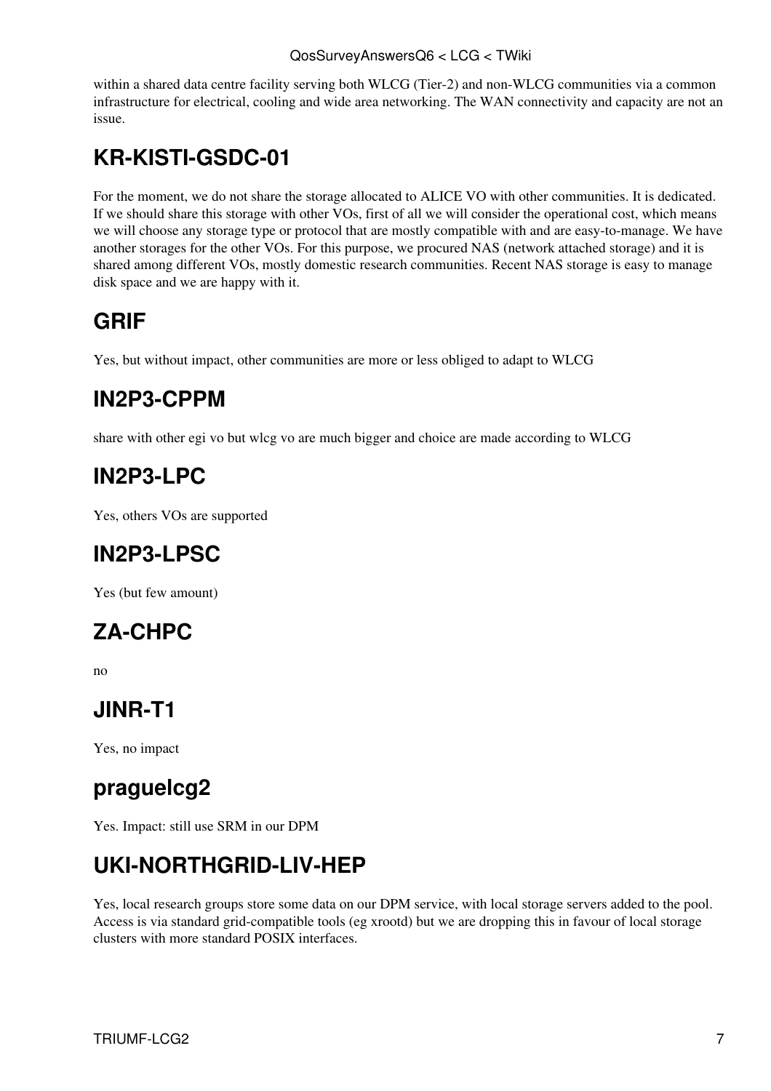#### QosSurveyAnswersQ6 < LCG < TWiki

within a shared data centre facility serving both WLCG (Tier-2) and non-WLCG communities via a common infrastructure for electrical, cooling and wide area networking. The WAN connectivity and capacity are not an issue.

## <span id="page-8-0"></span>**KR-KISTI-GSDC-01**

For the moment, we do not share the storage allocated to ALICE VO with other communities. It is dedicated. If we should share this storage with other VOs, first of all we will consider the operational cost, which means we will choose any storage type or protocol that are mostly compatible with and are easy-to-manage. We have another storages for the other VOs. For this purpose, we procured NAS (network attached storage) and it is shared among different VOs, mostly domestic research communities. Recent NAS storage is easy to manage disk space and we are happy with it.

#### <span id="page-8-1"></span>**GRIF**

Yes, but without impact, other communities are more or less obliged to adapt to WLCG

#### <span id="page-8-2"></span>**[IN2P3](https://twiki.cern.ch/twiki/bin/view/LCG/IN2P3)-CPPM**

share with other egi vo but wlcg vo are much bigger and choice are made according to WLCG

#### <span id="page-8-3"></span>**[IN2P3](https://twiki.cern.ch/twiki/bin/view/LCG/IN2P3)-LPC**

Yes, others VOs are supported

## <span id="page-8-4"></span>**[IN2P3](https://twiki.cern.ch/twiki/bin/view/LCG/IN2P3)-LPSC**

Yes (but few amount)

## <span id="page-8-5"></span>**ZA-CHPC**

no

#### <span id="page-8-6"></span>**JINR-T1**

Yes, no impact

#### <span id="page-8-7"></span>**praguelcg2**

Yes. Impact: still use SRM in our DPM

## <span id="page-8-8"></span>**UKI-NORTHGRID-LIV-HEP**

Yes, local research groups store some data on our DPM service, with local storage servers added to the pool. Access is via standard grid-compatible tools (eg xrootd) but we are dropping this in favour of local storage clusters with more standard POSIX interfaces.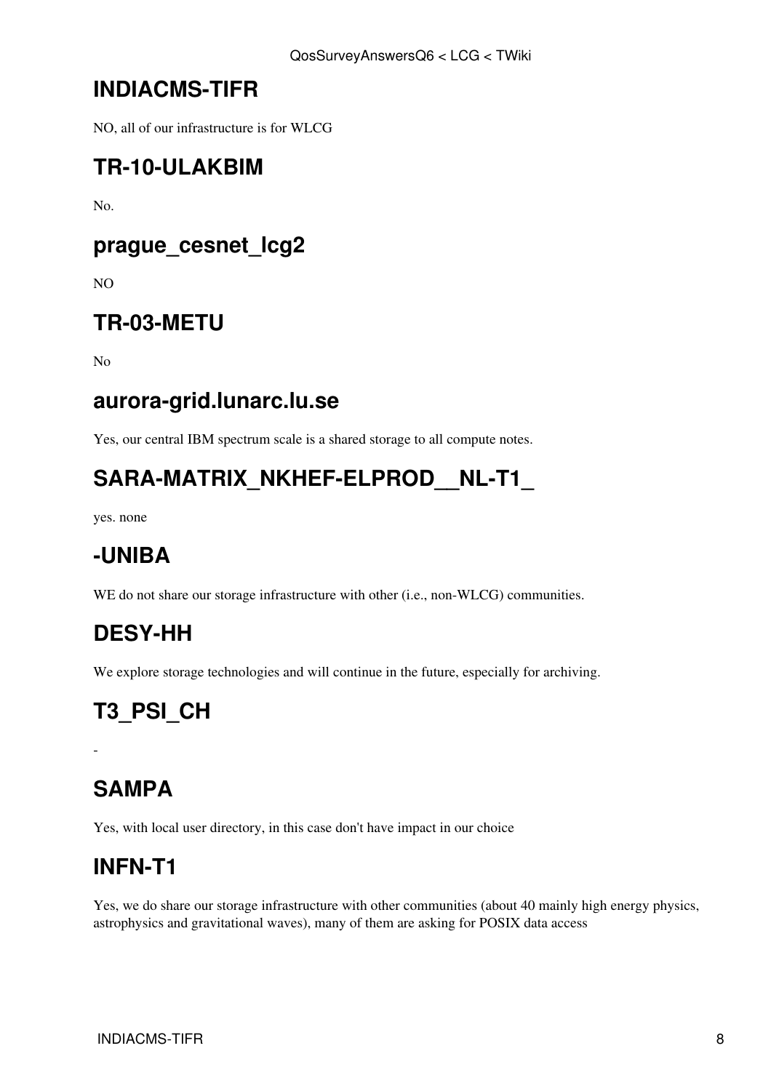#### <span id="page-9-0"></span>**INDIACMS-TIFR**

NO, all of our infrastructure is for WLCG

#### <span id="page-9-1"></span>**TR-10-ULAKBIM**

No.

#### <span id="page-9-2"></span>**prague\_cesnet\_lcg2**

NO

#### <span id="page-9-3"></span>**TR-03-METU**

No

#### <span id="page-9-4"></span>**aurora-grid.lunarc.lu.se**

Yes, our central IBM spectrum scale is a shared storage to all compute notes.

## <span id="page-9-5"></span>SARA-MATRIX\_NKHEF-ELPROD\_NL-T1

yes. none

## <span id="page-9-6"></span>**-UNIBA**

WE do not share our storage infrastructure with other (i.e., non-WLCG) communities.

#### <span id="page-9-7"></span>**DESY-HH**

We explore storage technologies and will continue in the future, especially for archiving.

# <span id="page-9-8"></span>**T3\_PSI\_CH**

## <span id="page-9-9"></span>**SAMPA**

-

Yes, with local user directory, in this case don't have impact in our choice

#### <span id="page-9-10"></span>**INFN-T1**

Yes, we do share our storage infrastructure with other communities (about 40 mainly high energy physics, astrophysics and gravitational waves), many of them are asking for POSIX data access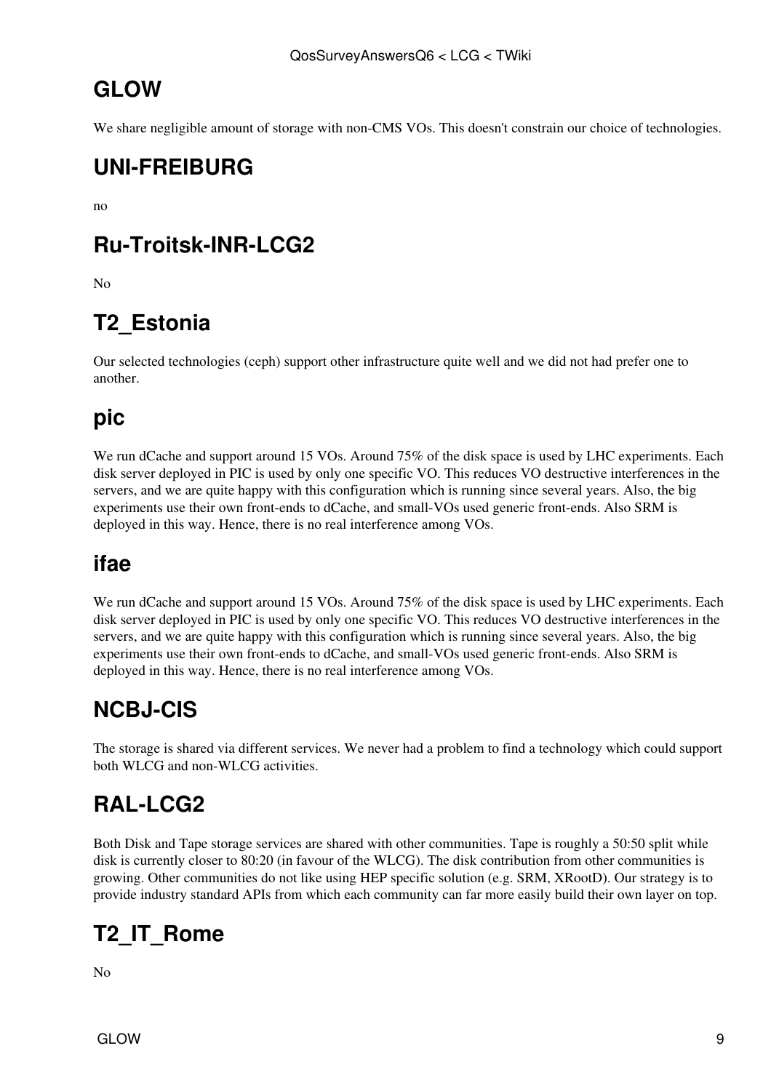## <span id="page-10-0"></span>**GLOW**

We share negligible amount of storage with non-CMS VOs. This doesn't constrain our choice of technologies.

#### <span id="page-10-1"></span>**UNI-FREIBURG**

no

## <span id="page-10-2"></span>**Ru-Troitsk-INR-LCG2**

No

# <span id="page-10-3"></span>**T2\_Estonia**

Our selected technologies (ceph) support other infrastructure quite well and we did not had prefer one to another.

#### <span id="page-10-4"></span>**pic**

We run dCache and support around 15 VOs. Around 75% of the disk space is used by LHC experiments. Each disk server deployed in PIC is used by only one specific VO. This reduces VO destructive interferences in the servers, and we are quite happy with this configuration which is running since several years. Also, the big experiments use their own front-ends to dCache, and small-VOs used generic front-ends. Also SRM is deployed in this way. Hence, there is no real interference among VOs.

## <span id="page-10-5"></span>**ifae**

We run dCache and support around 15 VOs. Around 75% of the disk space is used by LHC experiments. Each disk server deployed in PIC is used by only one specific VO. This reduces VO destructive interferences in the servers, and we are quite happy with this configuration which is running since several years. Also, the big experiments use their own front-ends to dCache, and small-VOs used generic front-ends. Also SRM is deployed in this way. Hence, there is no real interference among VOs.

## <span id="page-10-6"></span>**NCBJ-CIS**

The storage is shared via different services. We never had a problem to find a technology which could support both WLCG and non-WLCG activities.

# <span id="page-10-7"></span>**[RAL-](https://twiki.cern.ch/twiki/bin/view/LCG/RAL)LCG2**

Both Disk and Tape storage services are shared with other communities. Tape is roughly a 50:50 split while disk is currently closer to 80:20 (in favour of the WLCG). The disk contribution from other communities is growing. Other communities do not like using HEP specific solution (e.g. SRM, [XRootD\)](https://twiki.cern.ch/twiki/bin/edit/LCG/XRootD?topicparent=LCG.QosSurveyAnswersQ6;nowysiwyg=1). Our strategy is to provide industry standard APIs from which each community can far more easily build their own layer on top.

# <span id="page-10-8"></span>**T2\_IT\_Rome**

No